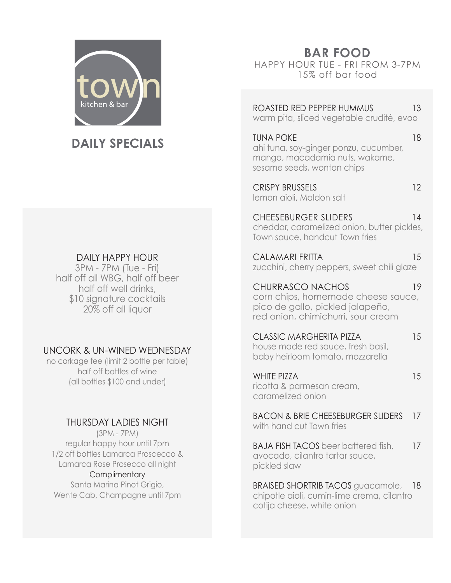

# **DAILY SPECIALS**

## DAILY HAPPY HOUR

3PM - 7PM (Tue - Fri) half off all WBG, half off beer half off well drinks, \$10 signature cocktails 20% off all liquor

## UNCORK & UN-WINED WEDNESDAY

no corkage fee (limit 2 bottle per table) half off bottles of wine (all bottles \$100 and under)

## THURSDAY LADIES NIGHT

(3PM - 7PM) regular happy hour until 7pm 1/2 off bottles Lamarca Proscecco & Lamarca Rose Prosecco all night

#### **Complimentary**

Santa Marina Pinot Grigio, Wente Cab, Champagne until 7pm **BAR FOOD**

HAPPY HOUR TUE - FRI FROM 3-7PM 15% off bar food

ROASTED RED PEPPER HUMMUS 13 warm pita, sliced vegetable crudité, evoo

TUNA POKE 18 ahi tuna, soy-ginger ponzu, cucumber, mango, macadamia nuts, wakame, sesame seeds, wonton chips

CRISPY BRUSSELS 12 lemon aioli, Maldon salt

CHEESEBURGER SLIDERS 14 cheddar, caramelized onion, butter pickles, Town sauce, handcut Town fries

CALAMARI FRITTA 15 zucchini, cherry peppers, sweet chili glaze

CHURRASCO NACHOS 19 corn chips, homemade cheese sauce, pico de gallo, pickled jalapeño, red onion, chimichurri, sour cream

CLASSIC MARGHERITA PIZZA 15

house made red sauce, fresh basil, baby heirloom tomato, mozzarella

WHITE PIZZA 15 ricotta & parmesan cream, caramelized onion

BACON & BRIE CHEESEBURGER SLIDERS 17 with hand cut Town fries

BAJA FISH TACOS beer battered fish, 17 avocado, cilantro tartar sauce, pickled slaw

BRAISED SHORTRIB TACOS quacamole, 18 chipotle aioli, cumin-lime crema, cilantro cotija cheese, white onion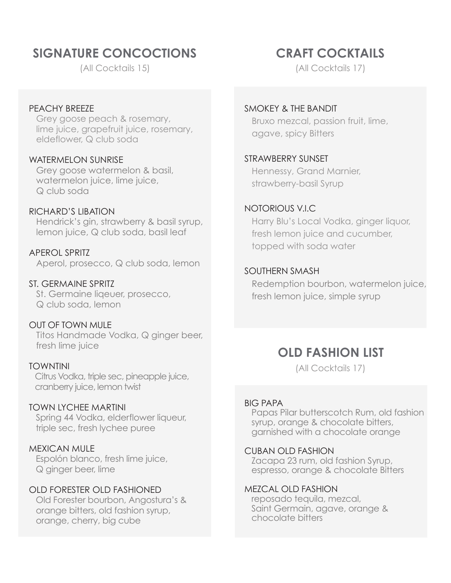# **SIGNATURE CONCOCTIONS**

(All Cocktails 15)

### PEACHY BREEZE

 Grey goose peach & rosemary, lime juice, grapefruit juice, rosemary, eldeflower, Q club soda

#### WATERMELON SUNRISE

 Grey goose watermelon & basil, watermelon juice, lime juice, Q club soda

### RICHARD'S LIBATION

 Hendrick's gin, strawberry & basil syrup, lemon juice, Q club soda, basil leaf

APEROL SPRITZ Aperol, prosecco, Q club soda, lemon

### ST. GERMAINE SPRITZ

 St. Germaine liqeuer, prosecco, Q club soda, lemon

### OUT OF TOWN MULE

 Titos Handmade Vodka, Q ginger beer, fresh lime juice

### TOWNTINI

 Citrus Vodka, triple sec, pineapple juice, cranberry juice, lemon twist

### TOWN LYCHEE MARTINI

 Spring 44 Vodka, elderflower liqueur, triple sec, fresh lychee puree

### MEXICAN MULE

 Espolón blanco, fresh lime juice, Q ginger beer, lime

## OLD FORESTER OLD FASHIONED

 Old Forester bourbon, Angostura's & orange bitters, old fashion syrup, orange, cherry, big cube

# **CRAFT COCKTAILS**

(All Cocktails 17)

#### SMOKEY & THE BANDIT

 Bruxo mezcal, passion fruit, lime, agave, spicy Bitters

#### STRAWBERRY SUNSET

 Hennessy, Grand Marnier, strawberry-basil Syrup

#### NOTORIOUS V.I.C

 Harry Blu's Local Vodka, ginger liquor, fresh lemon juice and cucumber, topped with soda water

#### SOUTHERN SMASH

 Redemption bourbon, watermelon juice, fresh lemon juice, simple syrup

## **OLD FASHION LIST**

(All Cocktails 17)

#### BIG PAPA

 Papas Pilar butterscotch Rum, old fashion syrup, orange & chocolate bitters, garnished with a chocolate orange

#### CUBAN OLD FASHION

 Zacapa 23 rum, old fashion Syrup, espresso, orange & chocolate Bitters

#### MEZCAL OLD FASHION

 reposado tequila, mezcal, Saint Germain, agave, orange & chocolate bitters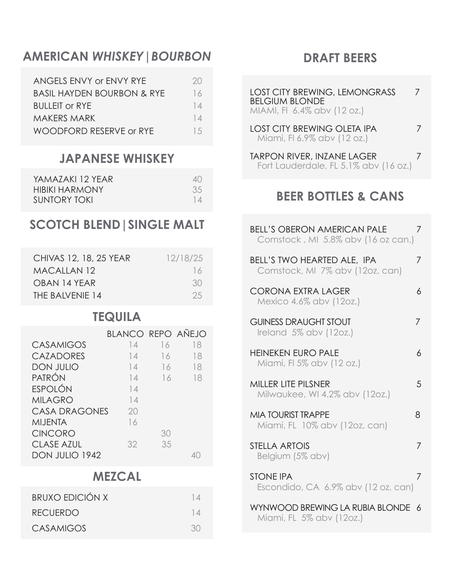# **AMERICAN** *WHISKEY|BOURBON*

| ANGELS ENVY or ENVY RYE               | 2() |
|---------------------------------------|-----|
| <b>BASIL HAYDEN BOURBON &amp; RYE</b> | 16  |
| <b>BULLEIT OF RYE</b>                 | 14  |
| <b>MAKERS MARK</b>                    | 14  |
| WOODFORD RESERVE or RYE               | 1.5 |
|                                       |     |

## **JAPANESE WHISKEY**

| YAMAZAKI 12 YEAR      | $\Delta()$ |
|-----------------------|------------|
| <b>HIBIKI HARMONY</b> | 35         |
| SUNTORY TOKI          | 14         |

# **SCOTCH BLEND|SINGLE MALT**

| CHIVAS 12, 18, 25 YEAR | 12/18/25 |
|------------------------|----------|
| MACALLAN 12            | 16       |
| OBAN 14 YEAR           | .30      |
| THE BAIVENIE 14        | -25      |

## **TEQUILA**

|                       | BLANCO REPO AÑEJO |    |    |
|-----------------------|-------------------|----|----|
| <b>CASAMIGOS</b>      | $\frac{1}{4}$     | 16 | 18 |
| <b>CAZADORES</b>      | 14                | 16 | 18 |
| <b>DON JULIO</b>      | 14                | 16 | 18 |
| PATRÓN                | 14                | 16 | 18 |
| ESPOLÓN               | 14                |    |    |
| <b>MILAGRO</b>        | 14                |    |    |
| <b>CASA DRAGONES</b>  | 20                |    |    |
| MIJENTA               | 16                |    |    |
| <b>CINCORO</b>        |                   | 30 |    |
| <b>CLASE AZUL</b>     | 32                | 35 |    |
| <b>DON JULIO 1942</b> |                   |    |    |

## **MEZCAL**

| <b>BRUXO EDICIÓN X</b> |     |
|------------------------|-----|
| <b>RECUERDO</b>        |     |
| CASAMIGOS              | .30 |

## **DRAFT BEERS**

| <b>LOST CITY BREWING, LEMONGRASS</b><br><b>BELGIUM BLONDE</b><br>MIAMI, FI 6.4% abv (12 oz.) |  |
|----------------------------------------------------------------------------------------------|--|
| <b>LOST CITY BREWING OLETA IPA</b><br>Miami, FI 6.9% abv (12 oz.)                            |  |

TARPON RIVER, INZANE LAGER 7 Fort Lauderdale, FL 5.1% abv (16 oz.)

# **BEER BOTTLES & CANS**

| <b>BELL'S OBERON AMERICAN PALE</b><br>Comstock, MI 5.8% abv (16 oz can.) | 7 |
|--------------------------------------------------------------------------|---|
| BELL'S TWO HEARTED ALE, IPA<br>Comstock, MI 7% abv (12oz. can)           | 7 |
| <b>CORONA EXTRA LAGER</b><br>Mexico 4.6% abv (12oz.)                     | 6 |
| <b>GUINESS DRAUGHT STOUT</b><br>Ireland 5% abv (12oz.)                   | 7 |
| <b>HEINEKEN EURO PALE</b><br>Miami, FI 5% abv (12 oz.)                   | 6 |
| <b>MILLER LITE PILSNER</b><br>Milwaukee, WI 4.2% abv (12oz.)             | 5 |
| <b>MIA TOURIST TRAPPE</b><br>Miami, FL 10% abv (12oz. can)               | 8 |
| STELLA ARTOIS<br>Belgium (5% abv)                                        | 7 |
| <b>STONE IPA</b><br>Escondido, CA 6.9% abv (12 oz. can)                  | 7 |
| WYNWOOD BREWING LA RUBIA BLONDE<br>Miami, FL 5% abv (12oz.)              | 6 |